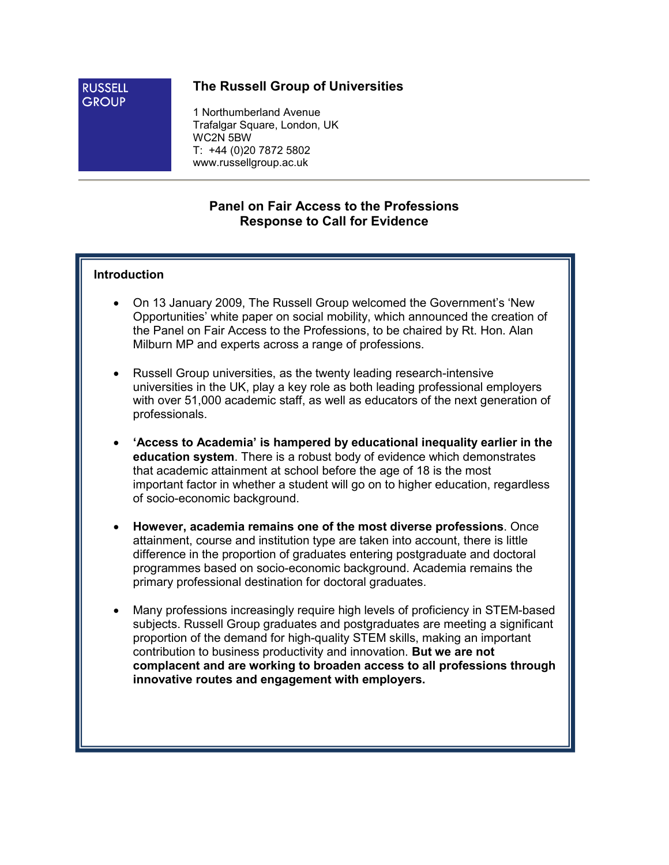#### **RUSSELL GROUP**

## The Russell Group of Universities

1 Northumberland Avenue Trafalgar Square, London, UK WC2N 5BW T: +44 (0)20 7872 5802 www.russellgroup.ac.uk

## Panel on Fair Access to the Professions Response to Call for Evidence

### Introduction

- On 13 January 2009, The Russell Group welcomed the Government's 'New Opportunities' white paper on social mobility, which announced the creation of the Panel on Fair Access to the Professions, to be chaired by Rt. Hon. Alan Milburn MP and experts across a range of professions.
- Russell Group universities, as the twenty leading research-intensive universities in the UK, play a key role as both leading professional employers with over 51,000 academic staff, as well as educators of the next generation of professionals.
- 'Access to Academia' is hampered by educational inequality earlier in the education system. There is a robust body of evidence which demonstrates that academic attainment at school before the age of 18 is the most important factor in whether a student will go on to higher education, regardless of socio-economic background.
- However, academia remains one of the most diverse professions. Once attainment, course and institution type are taken into account, there is little difference in the proportion of graduates entering postgraduate and doctoral programmes based on socio-economic background. Academia remains the primary professional destination for doctoral graduates.
- Many professions increasingly require high levels of proficiency in STEM-based subjects. Russell Group graduates and postgraduates are meeting a significant proportion of the demand for high-quality STEM skills, making an important contribution to business productivity and innovation. But we are not complacent and are working to broaden access to all professions through innovative routes and engagement with employers.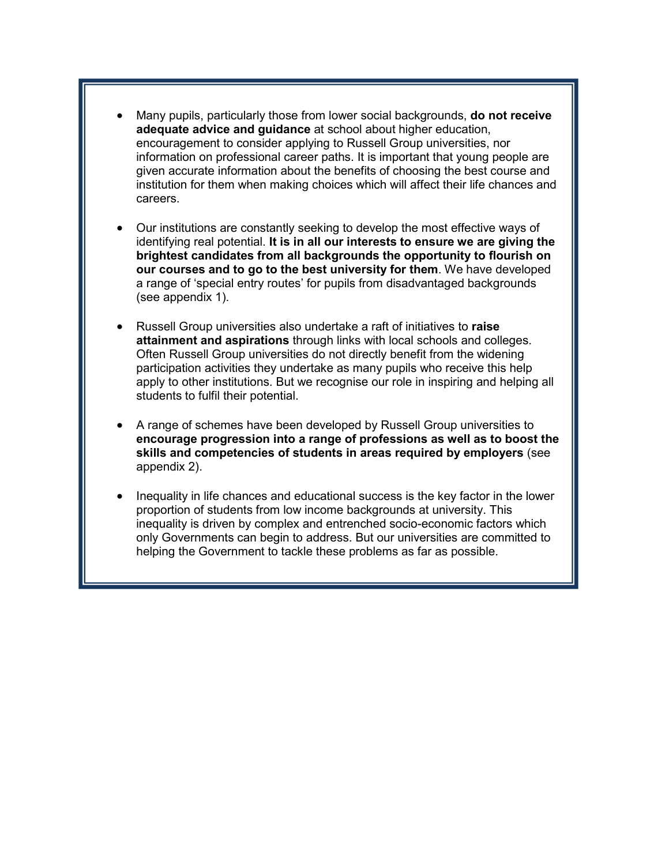- Many pupils, particularly those from lower social backgrounds, do not receive adequate advice and guidance at school about higher education, encouragement to consider applying to Russell Group universities, nor information on professional career paths. It is important that young people are given accurate information about the benefits of choosing the best course and institution for them when making choices which will affect their life chances and careers.
- Our institutions are constantly seeking to develop the most effective ways of identifying real potential. It is in all our interests to ensure we are giving the brightest candidates from all backgrounds the opportunity to flourish on our courses and to go to the best university for them. We have developed a range of 'special entry routes' for pupils from disadvantaged backgrounds (see appendix 1).
- Russell Group universities also undertake a raft of initiatives to raise attainment and aspirations through links with local schools and colleges. Often Russell Group universities do not directly benefit from the widening participation activities they undertake as many pupils who receive this help apply to other institutions. But we recognise our role in inspiring and helping all students to fulfil their potential.
- A range of schemes have been developed by Russell Group universities to encourage progression into a range of professions as well as to boost the skills and competencies of students in areas required by employers (see appendix 2).
- Inequality in life chances and educational success is the key factor in the lower proportion of students from low income backgrounds at university. This inequality is driven by complex and entrenched socio-economic factors which only Governments can begin to address. But our universities are committed to helping the Government to tackle these problems as far as possible.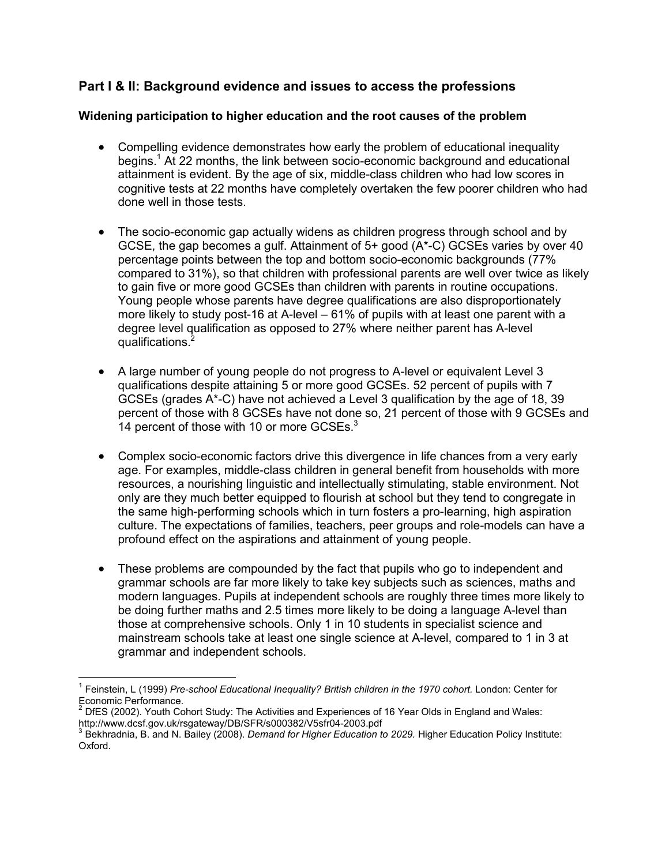# Part I & II: Background evidence and issues to access the professions

### Widening participation to higher education and the root causes of the problem

- Compelling evidence demonstrates how early the problem of educational inequality begins.<sup>1</sup> At 22 months, the link between socio-economic background and educational attainment is evident. By the age of six, middle-class children who had low scores in cognitive tests at 22 months have completely overtaken the few poorer children who had done well in those tests.
- The socio-economic gap actually widens as children progress through school and by GCSE, the gap becomes a gulf. Attainment of 5+ good (A\*-C) GCSEs varies by over 40 percentage points between the top and bottom socio-economic backgrounds (77% compared to 31%), so that children with professional parents are well over twice as likely to gain five or more good GCSEs than children with parents in routine occupations. Young people whose parents have degree qualifications are also disproportionately more likely to study post-16 at A-level – 61% of pupils with at least one parent with a degree level qualification as opposed to 27% where neither parent has A-level qualifications.<sup>2</sup>
- A large number of young people do not progress to A-level or equivalent Level 3 qualifications despite attaining 5 or more good GCSEs. 52 percent of pupils with 7 GCSEs (grades  $A^*$ -C) have not achieved a Level 3 qualification by the age of 18, 39 percent of those with 8 GCSEs have not done so, 21 percent of those with 9 GCSEs and 14 percent of those with 10 or more GCSEs.<sup>3</sup>
- Complex socio-economic factors drive this divergence in life chances from a very early age. For examples, middle-class children in general benefit from households with more resources, a nourishing linguistic and intellectually stimulating, stable environment. Not only are they much better equipped to flourish at school but they tend to congregate in the same high-performing schools which in turn fosters a pro-learning, high aspiration culture. The expectations of families, teachers, peer groups and role-models can have a profound effect on the aspirations and attainment of young people.
- These problems are compounded by the fact that pupils who go to independent and grammar schools are far more likely to take key subjects such as sciences, maths and modern languages. Pupils at independent schools are roughly three times more likely to be doing further maths and 2.5 times more likely to be doing a language A-level than those at comprehensive schools. Only 1 in 10 students in specialist science and mainstream schools take at least one single science at A-level, compared to 1 in 3 at grammar and independent schools.

 $\overline{a}$ 

<sup>&</sup>lt;sup>1</sup> Feinstein, L (1999) Pre-school Educational Inequality? British children in the 1970 cohort. London: Center for Economic Performance.<br><sup>2</sup> DfES (2002), Youth Col

DfES (2002). Youth Cohort Study: The Activities and Experiences of 16 Year Olds in England and Wales: http://www.dcsf.gov.uk/rsgateway/DB/SFR/s000382/V5sfr04-2003.pdf

 $^3$  Bekhradnia, B. and N. Bailey (2008). Demand for Higher Education to 2029. Higher Education Policy Institute: Oxford.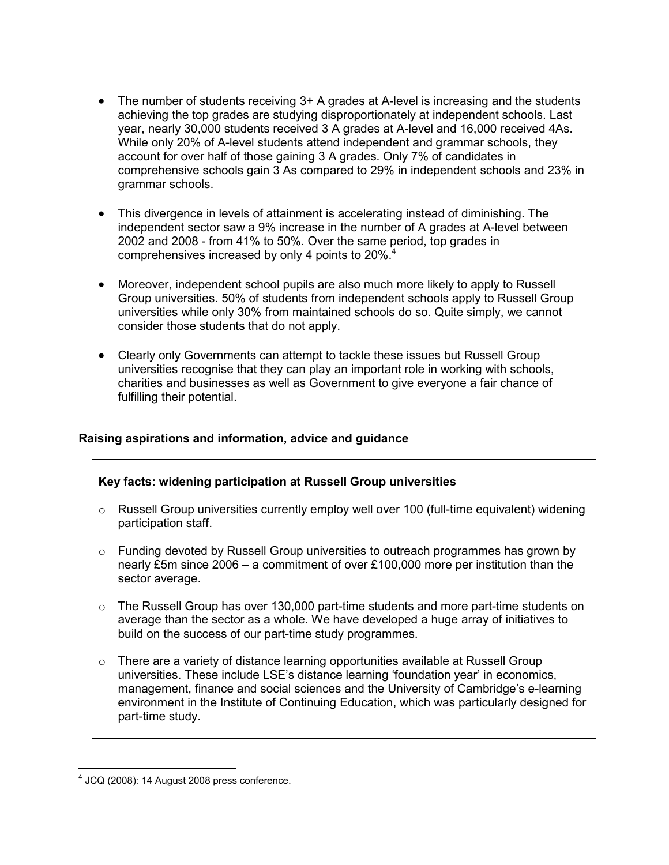- The number of students receiving 3+ A grades at A-level is increasing and the students achieving the top grades are studying disproportionately at independent schools. Last year, nearly 30,000 students received 3 A grades at A-level and 16,000 received 4As. While only 20% of A-level students attend independent and grammar schools, they account for over half of those gaining 3 A grades. Only 7% of candidates in comprehensive schools gain 3 As compared to 29% in independent schools and 23% in grammar schools.
- This divergence in levels of attainment is accelerating instead of diminishing. The independent sector saw a 9% increase in the number of A grades at A-level between 2002 and 2008 - from 41% to 50%. Over the same period, top grades in comprehensives increased by only 4 points to 20%.<sup>4</sup>
- Moreover, independent school pupils are also much more likely to apply to Russell Group universities. 50% of students from independent schools apply to Russell Group universities while only 30% from maintained schools do so. Quite simply, we cannot consider those students that do not apply.
- Clearly only Governments can attempt to tackle these issues but Russell Group universities recognise that they can play an important role in working with schools, charities and businesses as well as Government to give everyone a fair chance of fulfilling their potential.

### Raising aspirations and information, advice and guidance

### Key facts: widening participation at Russell Group universities

- $\circ$  Russell Group universities currently employ well over 100 (full-time equivalent) widening participation staff.
- $\circ$  Funding devoted by Russell Group universities to outreach programmes has grown by nearly £5m since 2006 – a commitment of over £100,000 more per institution than the sector average.
- o The Russell Group has over 130,000 part-time students and more part-time students on average than the sector as a whole. We have developed a huge array of initiatives to build on the success of our part-time study programmes.
- o There are a variety of distance learning opportunities available at Russell Group universities. These include LSE's distance learning 'foundation year' in economics, management, finance and social sciences and the University of Cambridge's e-learning environment in the Institute of Continuing Education, which was particularly designed for part-time study.

 $\overline{a}$ 

 $4$  JCQ (2008): 14 August 2008 press conference.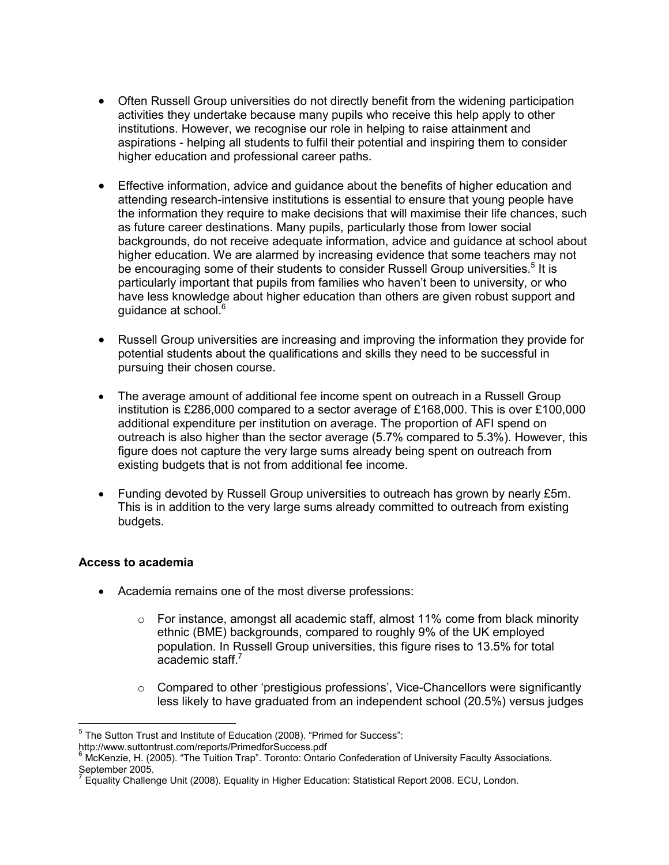- Often Russell Group universities do not directly benefit from the widening participation activities they undertake because many pupils who receive this help apply to other institutions. However, we recognise our role in helping to raise attainment and aspirations - helping all students to fulfil their potential and inspiring them to consider higher education and professional career paths.
- Effective information, advice and guidance about the benefits of higher education and attending research-intensive institutions is essential to ensure that young people have the information they require to make decisions that will maximise their life chances, such as future career destinations. Many pupils, particularly those from lower social backgrounds, do not receive adequate information, advice and guidance at school about higher education. We are alarmed by increasing evidence that some teachers may not be encouraging some of their students to consider Russell Group universities.<sup>5</sup> It is particularly important that pupils from families who haven't been to university, or who have less knowledge about higher education than others are given robust support and guidance at school.<sup>6</sup>
- Russell Group universities are increasing and improving the information they provide for potential students about the qualifications and skills they need to be successful in pursuing their chosen course.
- The average amount of additional fee income spent on outreach in a Russell Group institution is £286,000 compared to a sector average of £168,000. This is over £100,000 additional expenditure per institution on average. The proportion of AFI spend on outreach is also higher than the sector average (5.7% compared to 5.3%). However, this figure does not capture the very large sums already being spent on outreach from existing budgets that is not from additional fee income.
- Funding devoted by Russell Group universities to outreach has grown by nearly £5m. This is in addition to the very large sums already committed to outreach from existing budgets.

### Access to academia

l.

- Academia remains one of the most diverse professions:
	- o For instance, amongst all academic staff, almost 11% come from black minority ethnic (BME) backgrounds, compared to roughly 9% of the UK employed population. In Russell Group universities, this figure rises to 13.5% for total academic staff.<sup>7</sup>
	- $\circ$  Compared to other 'prestigious professions', Vice-Chancellors were significantly less likely to have graduated from an independent school (20.5%) versus judges

<sup>&</sup>lt;sup>5</sup> The Sutton Trust and Institute of Education (2008). "Primed for Success":

http://www.suttontrust.com/reports/PrimedforSuccess.pdf

<sup>&</sup>lt;sup>6</sup> McKenzie, H. (2005). "The Tuition Trap". Toronto: Ontario Confederation of University Faculty Associations. September 2005.<br><sup>7</sup> Equality Challen

Equality Challenge Unit (2008). Equality in Higher Education: Statistical Report 2008. ECU, London.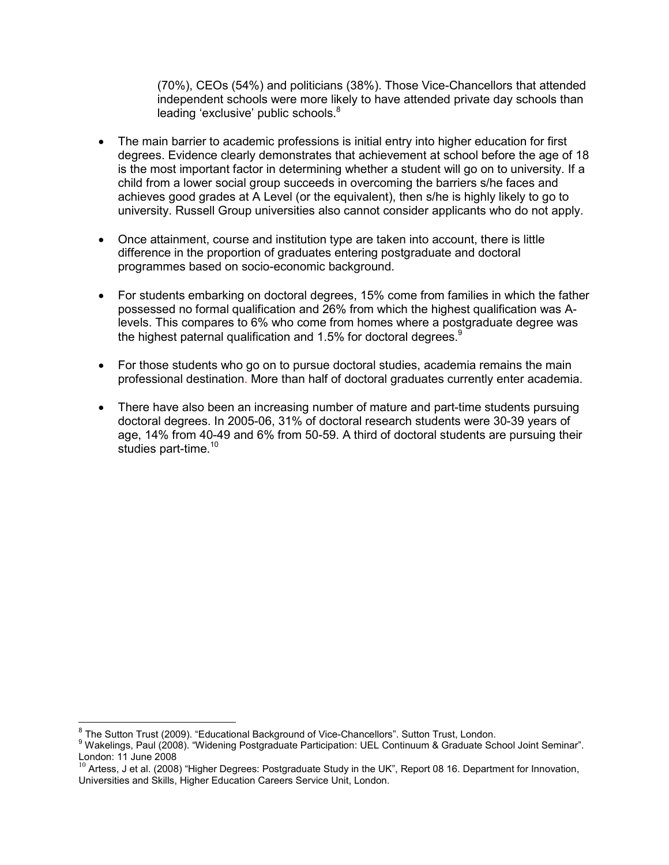(70%), CEOs (54%) and politicians (38%). Those Vice-Chancellors that attended independent schools were more likely to have attended private day schools than leading 'exclusive' public schools.<sup>8</sup>

- The main barrier to academic professions is initial entry into higher education for first degrees. Evidence clearly demonstrates that achievement at school before the age of 18 is the most important factor in determining whether a student will go on to university. If a child from a lower social group succeeds in overcoming the barriers s/he faces and achieves good grades at A Level (or the equivalent), then s/he is highly likely to go to university. Russell Group universities also cannot consider applicants who do not apply.
- Once attainment, course and institution type are taken into account, there is little difference in the proportion of graduates entering postgraduate and doctoral programmes based on socio-economic background.
- For students embarking on doctoral degrees, 15% come from families in which the father possessed no formal qualification and 26% from which the highest qualification was Alevels. This compares to 6% who come from homes where a postgraduate degree was the highest paternal qualification and 1.5% for doctoral degrees. $9$
- For those students who go on to pursue doctoral studies, academia remains the main professional destination. More than half of doctoral graduates currently enter academia.
- There have also been an increasing number of mature and part-time students pursuing doctoral degrees. In 2005-06, 31% of doctoral research students were 30-39 years of age, 14% from 40-49 and 6% from 50-59. A third of doctoral students are pursuing their studies part-time. $10$

l.

<sup>&</sup>lt;sup>8</sup> The Sutton Trust (2009). "Educational Background of Vice-Chancellors". Sutton Trust, London.

<sup>9</sup> Wakelings, Paul (2008). "Widening Postgraduate Participation: UEL Continuum & Graduate School Joint Seminar". London: 11 June 2008

 $10$  Artess, J et al. (2008) "Higher Degrees: Postgraduate Study in the UK", Report 08 16. Department for Innovation, Universities and Skills, Higher Education Careers Service Unit, London.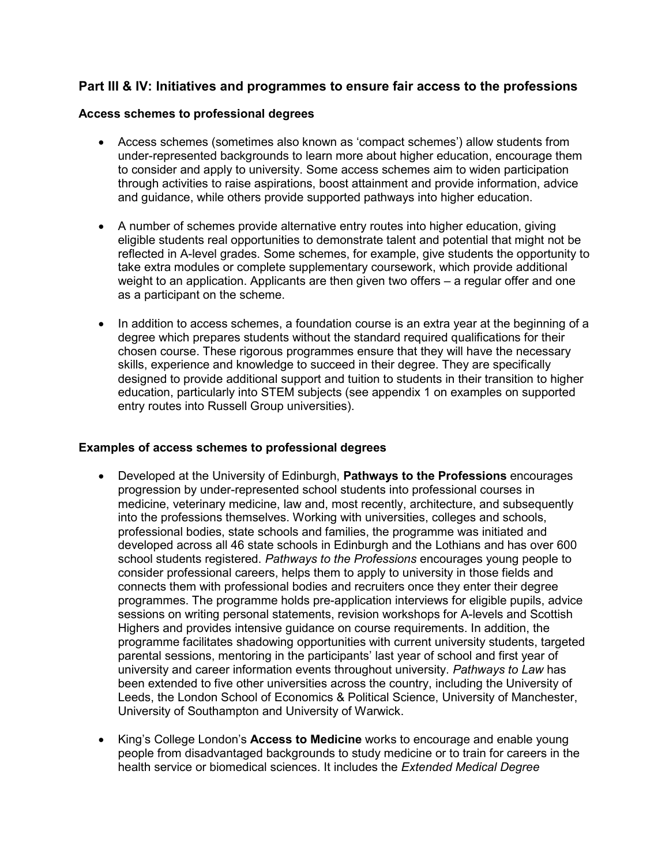## Part III & IV: Initiatives and programmes to ensure fair access to the professions

### Access schemes to professional degrees

- Access schemes (sometimes also known as 'compact schemes') allow students from under-represented backgrounds to learn more about higher education, encourage them to consider and apply to university. Some access schemes aim to widen participation through activities to raise aspirations, boost attainment and provide information, advice and guidance, while others provide supported pathways into higher education.
- A number of schemes provide alternative entry routes into higher education, giving eligible students real opportunities to demonstrate talent and potential that might not be reflected in A-level grades. Some schemes, for example, give students the opportunity to take extra modules or complete supplementary coursework, which provide additional weight to an application. Applicants are then given two offers – a regular offer and one as a participant on the scheme.
- In addition to access schemes, a foundation course is an extra year at the beginning of a degree which prepares students without the standard required qualifications for their chosen course. These rigorous programmes ensure that they will have the necessary skills, experience and knowledge to succeed in their degree. They are specifically designed to provide additional support and tuition to students in their transition to higher education, particularly into STEM subjects (see appendix 1 on examples on supported entry routes into Russell Group universities).

### Examples of access schemes to professional degrees

- Developed at the University of Edinburgh, Pathways to the Professions encourages progression by under-represented school students into professional courses in medicine, veterinary medicine, law and, most recently, architecture, and subsequently into the professions themselves. Working with universities, colleges and schools, professional bodies, state schools and families, the programme was initiated and developed across all 46 state schools in Edinburgh and the Lothians and has over 600 school students registered. Pathways to the Professions encourages young people to consider professional careers, helps them to apply to university in those fields and connects them with professional bodies and recruiters once they enter their degree programmes. The programme holds pre-application interviews for eligible pupils, advice sessions on writing personal statements, revision workshops for A-levels and Scottish Highers and provides intensive guidance on course requirements. In addition, the programme facilitates shadowing opportunities with current university students, targeted parental sessions, mentoring in the participants' last year of school and first year of university and career information events throughout university. Pathways to Law has been extended to five other universities across the country, including the University of Leeds, the London School of Economics & Political Science, University of Manchester, University of Southampton and University of Warwick.
- King's College London's **Access to Medicine** works to encourage and enable young people from disadvantaged backgrounds to study medicine or to train for careers in the health service or biomedical sciences. It includes the *Extended Medical Degree*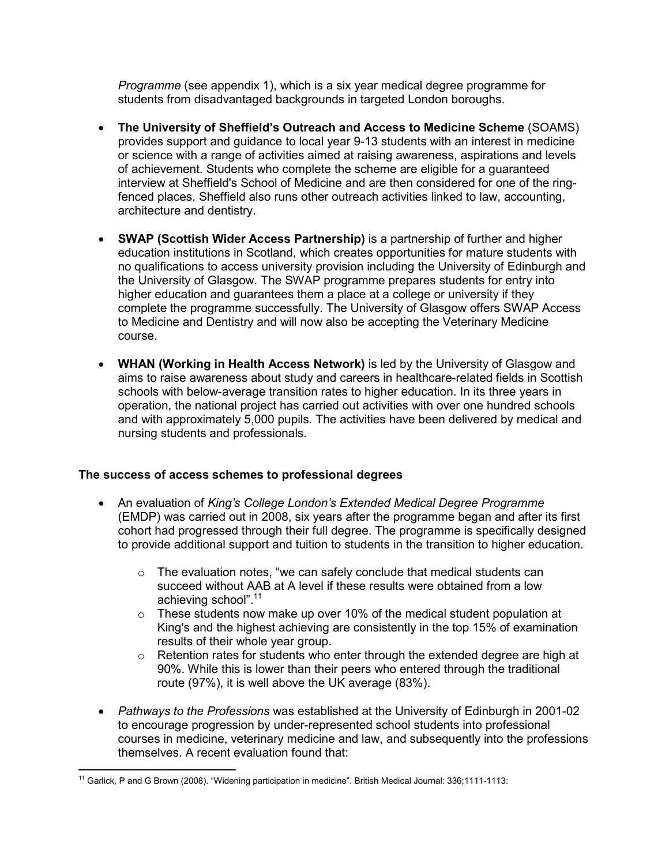Programme (see appendix 1), which is a six year medical degree programme for students from disadvantaged backgrounds in targeted London boroughs.

- The University of Sheffield's Outreach and Access to Medicine Scheme (SOAMS) provides support and guidance to local year 9-13 students with an interest in medicine or science with a range of activities aimed at raising awareness, aspirations and levels of achievement. Students who complete the scheme are eligible for a guaranteed interview at Sheffield's School of Medicine and are then considered for one of the ringfenced places. Sheffield also runs other outreach activities linked to law, accounting, architecture and dentistry.
- SWAP (Scottish Wider Access Partnership) is a partnership of further and higher education institutions in Scotland, which creates opportunities for mature students with no qualifications to access university provision including the University of Edinburgh and the University of Glasgow. The SWAP programme prepares students for entry into higher education and guarantees them a place at a college or university if they complete the programme successfully. The University of Glasgow offers SWAP Access to Medicine and Dentistry and will now also be accepting the Veterinary Medicine course.
- WHAN (Working in Health Access Network) is led by the University of Glasgow and aims to raise awareness about study and careers in healthcare-related fields in Scottish schools with below-average transition rates to higher education. In its three years in operation, the national project has carried out activities with over one hundred schools and with approximately 5,000 pupils. The activities have been delivered by medical and nursing students and professionals.

### The success of access schemes to professional degrees

- An evaluation of King's College London's Extended Medical Degree Programme (EMDP) was carried out in 2008, six years after the programme began and after its first cohort had progressed through their full degree. The programme is specifically designed to provide additional support and tuition to students in the transition to higher education.
	- o The evaluation notes, "we can safely conclude that medical students can succeed without AAB at A level if these results were obtained from a low achieving school".<sup>11</sup>
	- $\circ$  These students now make up over 10% of the medical student population at King's and the highest achieving are consistently in the top 15% of examination results of their whole year group.
	- o Retention rates for students who enter through the extended degree are high at 90%. While this is lower than their peers who entered through the traditional route (97%), it is well above the UK average (83%).
- Pathways to the Professions was established at the University of Edinburgh in 2001-02 to encourage progression by under-represented school students into professional courses in medicine, veterinary medicine and law, and subsequently into the professions themselves. A recent evaluation found that:

 $\overline{a}$ 

<sup>&</sup>lt;sup>11</sup> Garlick, P and G Brown (2008). "Widening participation in medicine". British Medical Journal: 336;1111-1113: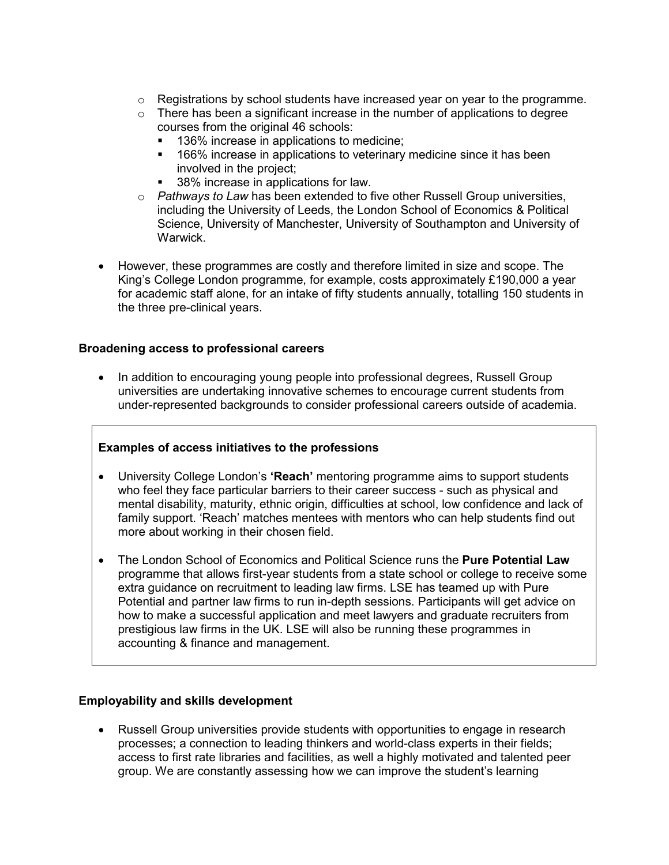- $\circ$  Registrations by school students have increased year on year to the programme.
- $\circ$  There has been a significant increase in the number of applications to degree courses from the original 46 schools:
	- **136% increase in applications to medicine;**
	- **166%** increase in applications to veterinary medicine since it has been involved in the project;
	- 38% increase in applications for law.
- $\circ$  Pathways to Law has been extended to five other Russell Group universities, including the University of Leeds, the London School of Economics & Political Science, University of Manchester, University of Southampton and University of Warwick.
- However, these programmes are costly and therefore limited in size and scope. The King's College London programme, for example, costs approximately £190,000 a year for academic staff alone, for an intake of fifty students annually, totalling 150 students in the three pre-clinical years.

#### Broadening access to professional careers

• In addition to encouraging young people into professional degrees, Russell Group universities are undertaking innovative schemes to encourage current students from under-represented backgrounds to consider professional careers outside of academia.

### Examples of access initiatives to the professions

- University College London's 'Reach' mentoring programme aims to support students who feel they face particular barriers to their career success - such as physical and mental disability, maturity, ethnic origin, difficulties at school, low confidence and lack of family support. 'Reach' matches mentees with mentors who can help students find out more about working in their chosen field.
- The London School of Economics and Political Science runs the Pure Potential Law programme that allows first-year students from a state school or college to receive some extra guidance on recruitment to leading law firms. LSE has teamed up with Pure Potential and partner law firms to run in-depth sessions. Participants will get advice on how to make a successful application and meet lawyers and graduate recruiters from prestigious law firms in the UK. LSE will also be running these programmes in accounting & finance and management.

#### Employability and skills development

• Russell Group universities provide students with opportunities to engage in research processes; a connection to leading thinkers and world-class experts in their fields; access to first rate libraries and facilities, as well a highly motivated and talented peer group. We are constantly assessing how we can improve the student's learning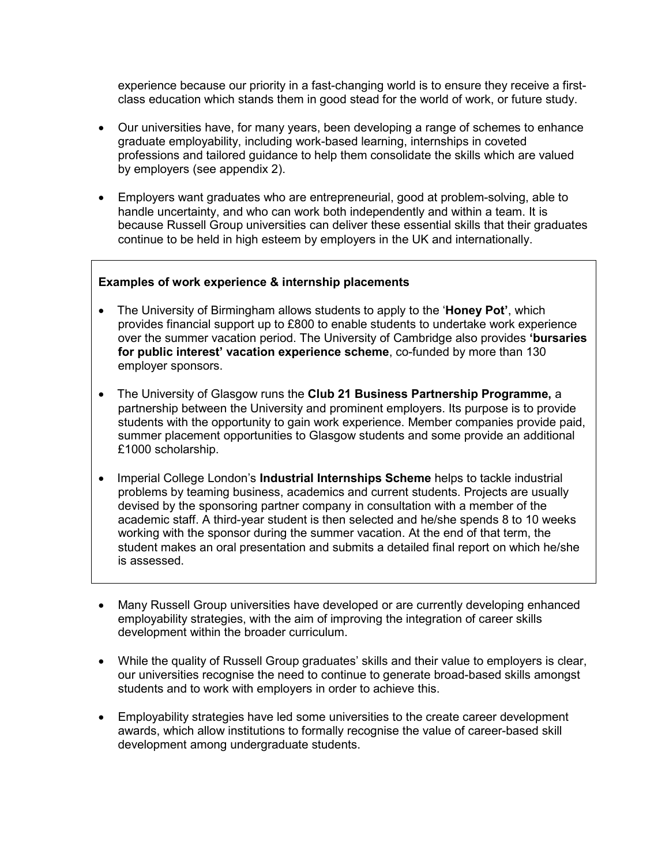experience because our priority in a fast-changing world is to ensure they receive a firstclass education which stands them in good stead for the world of work, or future study.

- Our universities have, for many years, been developing a range of schemes to enhance graduate employability, including work-based learning, internships in coveted professions and tailored guidance to help them consolidate the skills which are valued by employers (see appendix 2).
- Employers want graduates who are entrepreneurial, good at problem-solving, able to handle uncertainty, and who can work both independently and within a team. It is because Russell Group universities can deliver these essential skills that their graduates continue to be held in high esteem by employers in the UK and internationally.

#### Examples of work experience & internship placements

- The University of Birmingham allows students to apply to the 'Honey Pot', which provides financial support up to £800 to enable students to undertake work experience over the summer vacation period. The University of Cambridge also provides 'bursaries for public interest' vacation experience scheme, co-funded by more than 130 employer sponsors.
- The University of Glasgow runs the Club 21 Business Partnership Programme, a partnership between the University and prominent employers. Its purpose is to provide students with the opportunity to gain work experience. Member companies provide paid, summer placement opportunities to Glasgow students and some provide an additional £1000 scholarship.
- Imperial College London's **Industrial Internships Scheme** helps to tackle industrial problems by teaming business, academics and current students. Projects are usually devised by the sponsoring partner company in consultation with a member of the academic staff. A third-year student is then selected and he/she spends 8 to 10 weeks working with the sponsor during the summer vacation. At the end of that term, the student makes an oral presentation and submits a detailed final report on which he/she is assessed.
- Many Russell Group universities have developed or are currently developing enhanced employability strategies, with the aim of improving the integration of career skills development within the broader curriculum.
- While the quality of Russell Group graduates' skills and their value to employers is clear, our universities recognise the need to continue to generate broad-based skills amongst students and to work with employers in order to achieve this.
- Employability strategies have led some universities to the create career development awards, which allow institutions to formally recognise the value of career-based skill development among undergraduate students.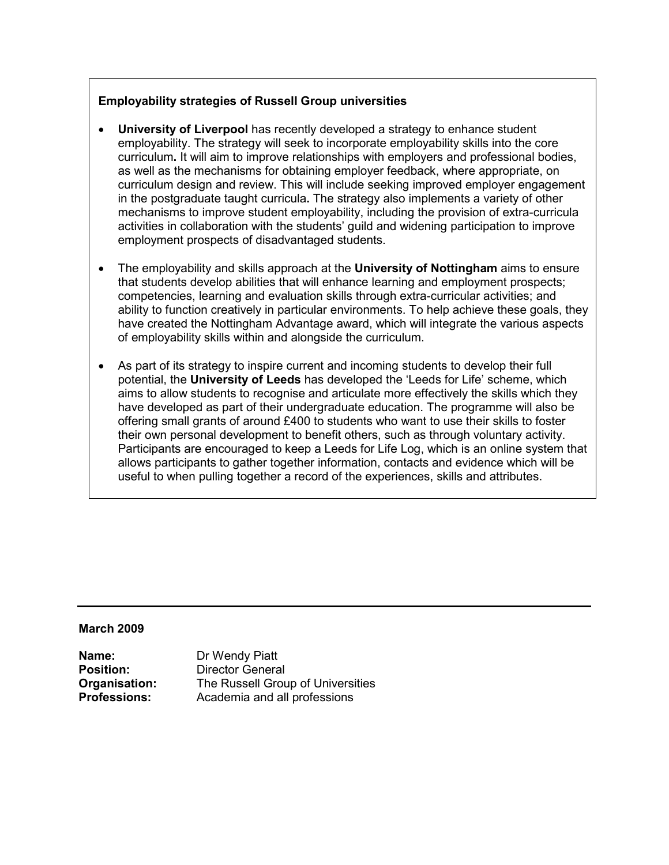### Employability strategies of Russell Group universities

- University of Liverpool has recently developed a strategy to enhance student employability. The strategy will seek to incorporate employability skills into the core curriculum. It will aim to improve relationships with employers and professional bodies, as well as the mechanisms for obtaining employer feedback, where appropriate, on curriculum design and review. This will include seeking improved employer engagement in the postgraduate taught curricula. The strategy also implements a variety of other mechanisms to improve student employability, including the provision of extra-curricula activities in collaboration with the students' guild and widening participation to improve employment prospects of disadvantaged students.
- The employability and skills approach at the **University of Nottingham** aims to ensure that students develop abilities that will enhance learning and employment prospects; competencies, learning and evaluation skills through extra-curricular activities; and ability to function creatively in particular environments. To help achieve these goals, they have created the Nottingham Advantage award, which will integrate the various aspects of employability skills within and alongside the curriculum.
- As part of its strategy to inspire current and incoming students to develop their full potential, the University of Leeds has developed the 'Leeds for Life' scheme, which aims to allow students to recognise and articulate more effectively the skills which they have developed as part of their undergraduate education. The programme will also be offering small grants of around £400 to students who want to use their skills to foster their own personal development to benefit others, such as through voluntary activity. Participants are encouraged to keep a Leeds for Life Log, which is an online system that allows participants to gather together information, contacts and evidence which will be useful to when pulling together a record of the experiences, skills and attributes.

#### March 2009

**Name:** Dr Wendy Piatt

**Position:** Director General **Organisation:** The Russell Group of Universities<br> **Professions:** Academia and all professions Academia and all professions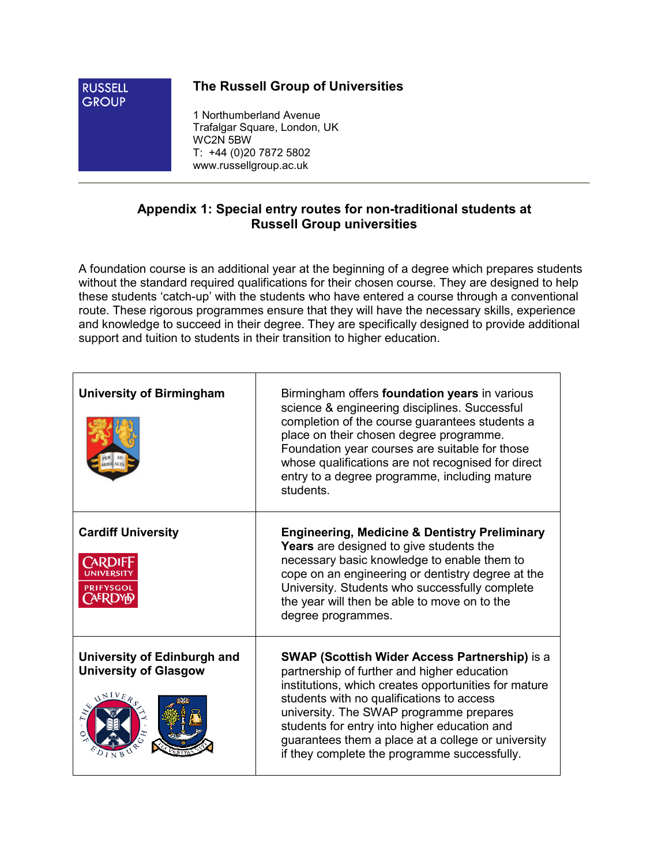

# The Russell Group of Universities

1 Northumberland Avenue Trafalgar Square, London, UK WC2N 5BW T: +44 (0)20 7872 5802 www.russellgroup.ac.uk

# Appendix 1: Special entry routes for non-traditional students at Russell Group universities

A foundation course is an additional year at the beginning of a degree which prepares students without the standard required qualifications for their chosen course. They are designed to help these students 'catch-up' with the students who have entered a course through a conventional route. These rigorous programmes ensure that they will have the necessary skills, experience and knowledge to succeed in their degree. They are specifically designed to provide additional support and tuition to students in their transition to higher education.

| <b>University of Birmingham</b>                                      | Birmingham offers foundation years in various<br>science & engineering disciplines. Successful<br>completion of the course guarantees students a<br>place on their chosen degree programme.<br>Foundation year courses are suitable for those<br>whose qualifications are not recognised for direct<br>entry to a degree programme, including mature<br>students.                                         |
|----------------------------------------------------------------------|-----------------------------------------------------------------------------------------------------------------------------------------------------------------------------------------------------------------------------------------------------------------------------------------------------------------------------------------------------------------------------------------------------------|
| <b>Cardiff University</b><br>PRIFYSGOL                               | <b>Engineering, Medicine &amp; Dentistry Preliminary</b><br>Years are designed to give students the<br>necessary basic knowledge to enable them to<br>cope on an engineering or dentistry degree at the<br>University. Students who successfully complete<br>the year will then be able to move on to the<br>degree programmes.                                                                           |
| University of Edinburgh and<br><b>University of Glasgow</b><br>INIVE | <b>SWAP (Scottish Wider Access Partnership)</b> is a<br>partnership of further and higher education<br>institutions, which creates opportunities for mature<br>students with no qualifications to access<br>university. The SWAP programme prepares<br>students for entry into higher education and<br>guarantees them a place at a college or university<br>if they complete the programme successfully. |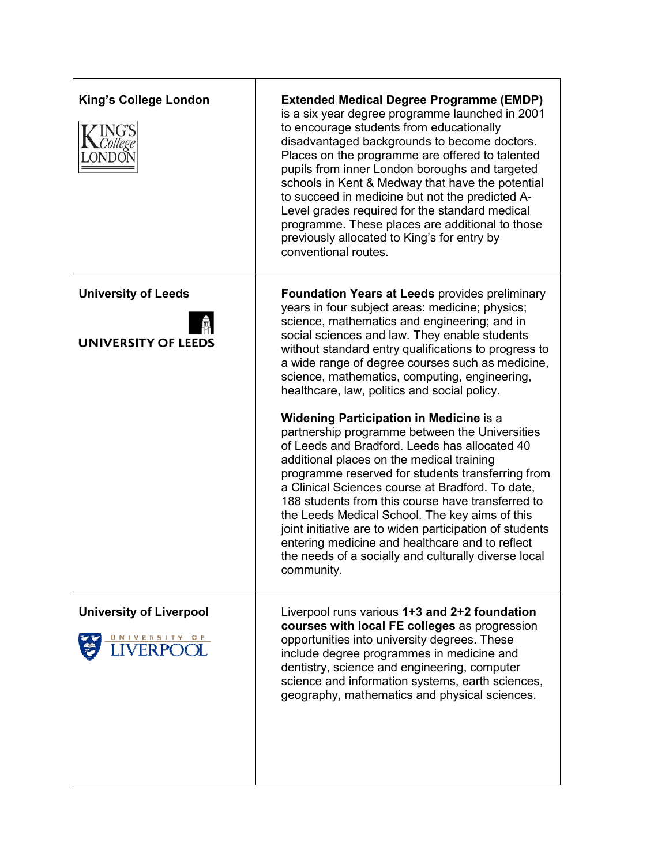| <b>King's College London</b>                             | <b>Extended Medical Degree Programme (EMDP)</b><br>is a six year degree programme launched in 2001<br>to encourage students from educationally<br>disadvantaged backgrounds to become doctors.<br>Places on the programme are offered to talented<br>pupils from inner London boroughs and targeted<br>schools in Kent & Medway that have the potential<br>to succeed in medicine but not the predicted A-<br>Level grades required for the standard medical<br>programme. These places are additional to those<br>previously allocated to King's for entry by<br>conventional routes.             |
|----------------------------------------------------------|----------------------------------------------------------------------------------------------------------------------------------------------------------------------------------------------------------------------------------------------------------------------------------------------------------------------------------------------------------------------------------------------------------------------------------------------------------------------------------------------------------------------------------------------------------------------------------------------------|
| <b>University of Leeds</b><br><b>UNIVERSITY OF LEEDS</b> | <b>Foundation Years at Leeds provides preliminary</b><br>years in four subject areas: medicine; physics;<br>science, mathematics and engineering; and in<br>social sciences and law. They enable students<br>without standard entry qualifications to progress to<br>a wide range of degree courses such as medicine,<br>science, mathematics, computing, engineering,<br>healthcare, law, politics and social policy.                                                                                                                                                                             |
|                                                          | <b>Widening Participation in Medicine is a</b><br>partnership programme between the Universities<br>of Leeds and Bradford. Leeds has allocated 40<br>additional places on the medical training<br>programme reserved for students transferring from<br>a Clinical Sciences course at Bradford. To date,<br>188 students from this course have transferred to<br>the Leeds Medical School. The key aims of this<br>joint initiative are to widen participation of students<br>entering medicine and healthcare and to reflect<br>the needs of a socially and culturally diverse local<br>community. |
| <b>University of Liverpool</b><br><u>UNIVERSITY OF</u>   | Liverpool runs various 1+3 and 2+2 foundation<br>courses with local FE colleges as progression<br>opportunities into university degrees. These<br>include degree programmes in medicine and<br>dentistry, science and engineering, computer<br>science and information systems, earth sciences,<br>geography, mathematics and physical sciences.                                                                                                                                                                                                                                                   |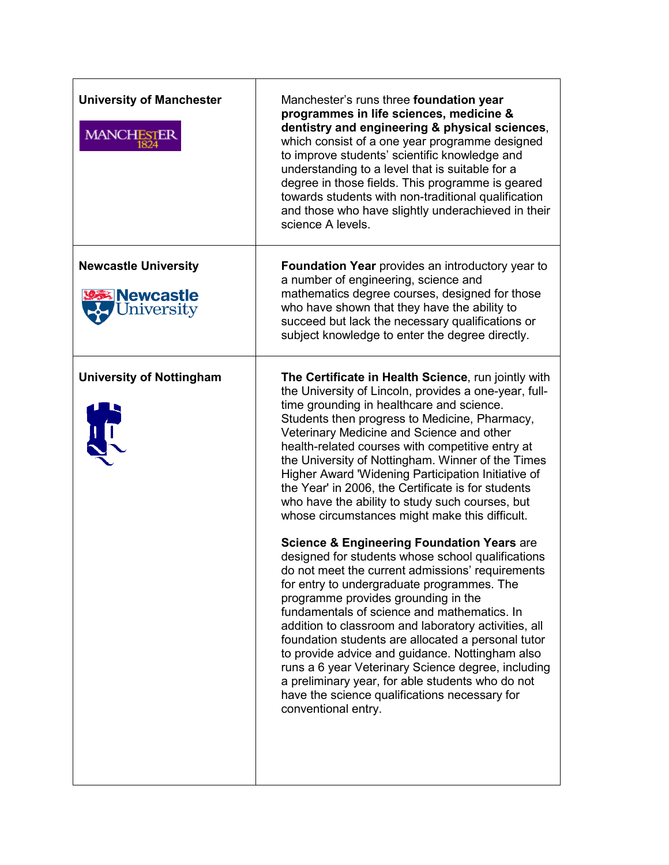| <b>University of Manchester</b><br><b>MANCHESTER</b>          | Manchester's runs three foundation year<br>programmes in life sciences, medicine &<br>dentistry and engineering & physical sciences,<br>which consist of a one year programme designed<br>to improve students' scientific knowledge and<br>understanding to a level that is suitable for a<br>degree in those fields. This programme is geared<br>towards students with non-traditional qualification<br>and those who have slightly underachieved in their<br>science A levels.                                                                                                                                                                                                                                                                                                                                                                                                                                                                                                                                                                                                                                                                                                                                                           |
|---------------------------------------------------------------|--------------------------------------------------------------------------------------------------------------------------------------------------------------------------------------------------------------------------------------------------------------------------------------------------------------------------------------------------------------------------------------------------------------------------------------------------------------------------------------------------------------------------------------------------------------------------------------------------------------------------------------------------------------------------------------------------------------------------------------------------------------------------------------------------------------------------------------------------------------------------------------------------------------------------------------------------------------------------------------------------------------------------------------------------------------------------------------------------------------------------------------------------------------------------------------------------------------------------------------------|
| <b>Newcastle University</b><br><b>Newcastle</b><br>Jniversity | <b>Foundation Year</b> provides an introductory year to<br>a number of engineering, science and<br>mathematics degree courses, designed for those<br>who have shown that they have the ability to<br>succeed but lack the necessary qualifications or<br>subject knowledge to enter the degree directly.                                                                                                                                                                                                                                                                                                                                                                                                                                                                                                                                                                                                                                                                                                                                                                                                                                                                                                                                   |
| <b>University of Nottingham</b><br>H                          | The Certificate in Health Science, run jointly with<br>the University of Lincoln, provides a one-year, full-<br>time grounding in healthcare and science.<br>Students then progress to Medicine, Pharmacy,<br>Veterinary Medicine and Science and other<br>health-related courses with competitive entry at<br>the University of Nottingham. Winner of the Times<br>Higher Award 'Widening Participation Initiative of<br>the Year' in 2006, the Certificate is for students<br>who have the ability to study such courses, but<br>whose circumstances might make this difficult.<br><b>Science &amp; Engineering Foundation Years are</b><br>designed for students whose school qualifications<br>do not meet the current admissions' requirements<br>for entry to undergraduate programmes. The<br>programme provides grounding in the<br>fundamentals of science and mathematics. In<br>addition to classroom and laboratory activities, all<br>foundation students are allocated a personal tutor<br>to provide advice and guidance. Nottingham also<br>runs a 6 year Veterinary Science degree, including<br>a preliminary year, for able students who do not<br>have the science qualifications necessary for<br>conventional entry. |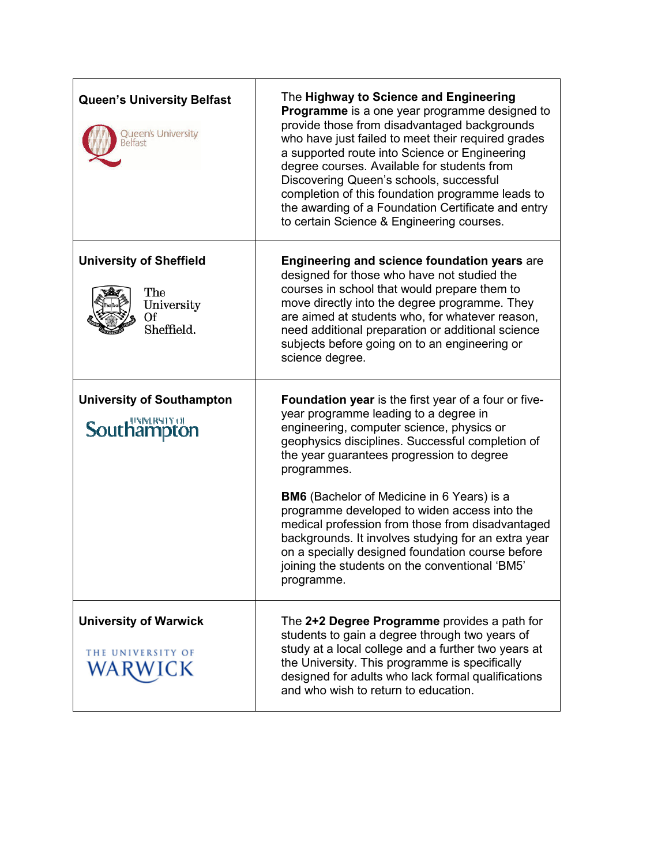| <b>Queen's University Belfast</b><br>Queen's University<br>lelfast      | The Highway to Science and Engineering<br>Programme is a one year programme designed to<br>provide those from disadvantaged backgrounds<br>who have just failed to meet their required grades<br>a supported route into Science or Engineering<br>degree courses. Available for students from<br>Discovering Queen's schools, successful<br>completion of this foundation programme leads to<br>the awarding of a Foundation Certificate and entry<br>to certain Science & Engineering courses. |
|-------------------------------------------------------------------------|-------------------------------------------------------------------------------------------------------------------------------------------------------------------------------------------------------------------------------------------------------------------------------------------------------------------------------------------------------------------------------------------------------------------------------------------------------------------------------------------------|
| <b>University of Sheffield</b><br>The<br>University<br>0f<br>Sheffield. | <b>Engineering and science foundation years are</b><br>designed for those who have not studied the<br>courses in school that would prepare them to<br>move directly into the degree programme. They<br>are aimed at students who, for whatever reason,<br>need additional preparation or additional science<br>subjects before going on to an engineering or<br>science degree.                                                                                                                 |
| <b>University of Southampton</b><br>Southampton                         | Foundation year is the first year of a four or five-<br>year programme leading to a degree in<br>engineering, computer science, physics or<br>geophysics disciplines. Successful completion of<br>the year guarantees progression to degree<br>programmes.                                                                                                                                                                                                                                      |
|                                                                         | <b>BM6</b> (Bachelor of Medicine in 6 Years) is a<br>programme developed to widen access into the<br>medical profession from those from disadvantaged<br>backgrounds. It involves studying for an extra year<br>on a specially designed foundation course before<br>joining the students on the conventional 'BM5'<br>programme.                                                                                                                                                                |
| <b>University of Warwick</b><br>THE UNIVERSITY OF                       | The 2+2 Degree Programme provides a path for<br>students to gain a degree through two years of<br>study at a local college and a further two years at<br>the University. This programme is specifically<br>designed for adults who lack formal qualifications<br>and who wish to return to education.                                                                                                                                                                                           |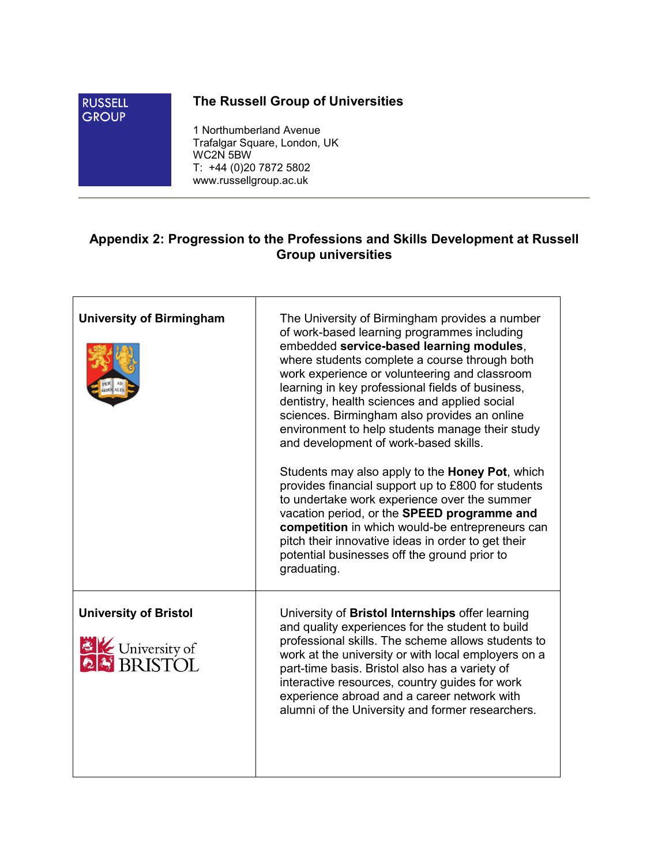

# The Russell Group of Universities

1 Northumberland Avenue Trafalgar Square, London, UK WC2N 5BW T: +44 (0)20 7872 5802 www.russellgroup.ac.uk

# Appendix 2: Progression to the Professions and Skills Development at Russell Group universities

| <b>University of Birmingham</b>                         | The University of Birmingham provides a number<br>of work-based learning programmes including<br>embedded service-based learning modules,<br>where students complete a course through both<br>work experience or volunteering and classroom<br>learning in key professional fields of business,<br>dentistry, health sciences and applied social<br>sciences. Birmingham also provides an online<br>environment to help students manage their study<br>and development of work-based skills.<br>Students may also apply to the <b>Honey Pot</b> , which<br>provides financial support up to £800 for students<br>to undertake work experience over the summer<br>vacation period, or the SPEED programme and<br>competition in which would-be entrepreneurs can<br>pitch their innovative ideas in order to get their<br>potential businesses off the ground prior to<br>graduating. |
|---------------------------------------------------------|--------------------------------------------------------------------------------------------------------------------------------------------------------------------------------------------------------------------------------------------------------------------------------------------------------------------------------------------------------------------------------------------------------------------------------------------------------------------------------------------------------------------------------------------------------------------------------------------------------------------------------------------------------------------------------------------------------------------------------------------------------------------------------------------------------------------------------------------------------------------------------------|
| <b>University of Bristol</b><br><b>EX</b> University of | University of Bristol Internships offer learning<br>and quality experiences for the student to build<br>professional skills. The scheme allows students to<br>work at the university or with local employers on a<br>part-time basis. Bristol also has a variety of<br>interactive resources, country guides for work<br>experience abroad and a career network with<br>alumni of the University and former researchers.                                                                                                                                                                                                                                                                                                                                                                                                                                                             |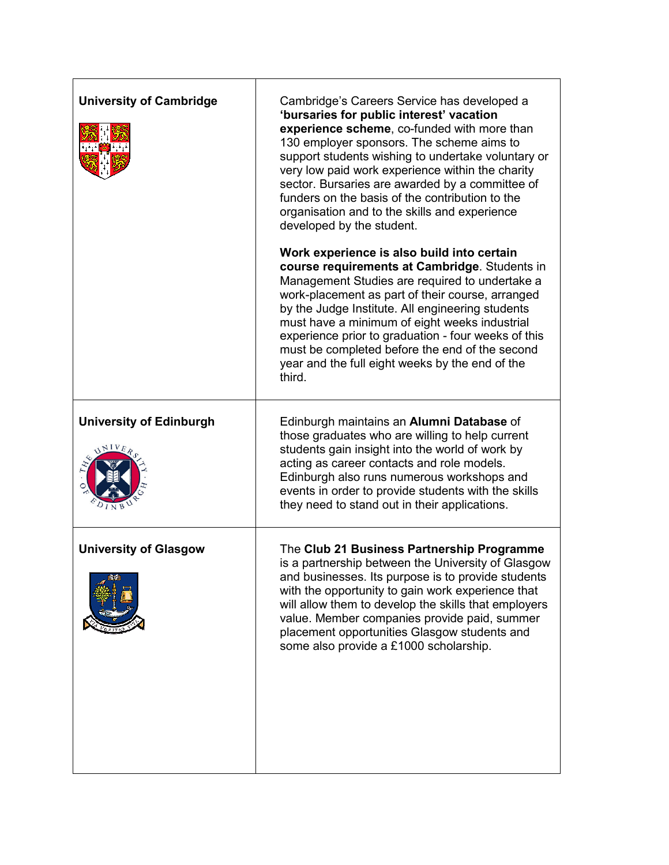| <b>University of Cambridge</b>         | Cambridge's Careers Service has developed a<br>'bursaries for public interest' vacation<br>experience scheme, co-funded with more than<br>130 employer sponsors. The scheme aims to<br>support students wishing to undertake voluntary or<br>very low paid work experience within the charity<br>sector. Bursaries are awarded by a committee of<br>funders on the basis of the contribution to the<br>organisation and to the skills and experience<br>developed by the student. |
|----------------------------------------|-----------------------------------------------------------------------------------------------------------------------------------------------------------------------------------------------------------------------------------------------------------------------------------------------------------------------------------------------------------------------------------------------------------------------------------------------------------------------------------|
|                                        | Work experience is also build into certain<br>course requirements at Cambridge. Students in<br>Management Studies are required to undertake a<br>work-placement as part of their course, arranged<br>by the Judge Institute. All engineering students<br>must have a minimum of eight weeks industrial<br>experience prior to graduation - four weeks of this<br>must be completed before the end of the second<br>year and the full eight weeks by the end of the<br>third.      |
| <b>University of Edinburgh</b><br>NIVE | Edinburgh maintains an Alumni Database of<br>those graduates who are willing to help current<br>students gain insight into the world of work by<br>acting as career contacts and role models.<br>Edinburgh also runs numerous workshops and<br>events in order to provide students with the skills<br>they need to stand out in their applications.                                                                                                                               |
| <b>University of Glasgow</b>           | The Club 21 Business Partnership Programme<br>is a partnership between the University of Glasgow<br>and businesses. Its purpose is to provide students<br>with the opportunity to gain work experience that<br>will allow them to develop the skills that employers<br>value. Member companies provide paid, summer<br>placement opportunities Glasgow students and<br>some also provide a £1000 scholarship.                                                                     |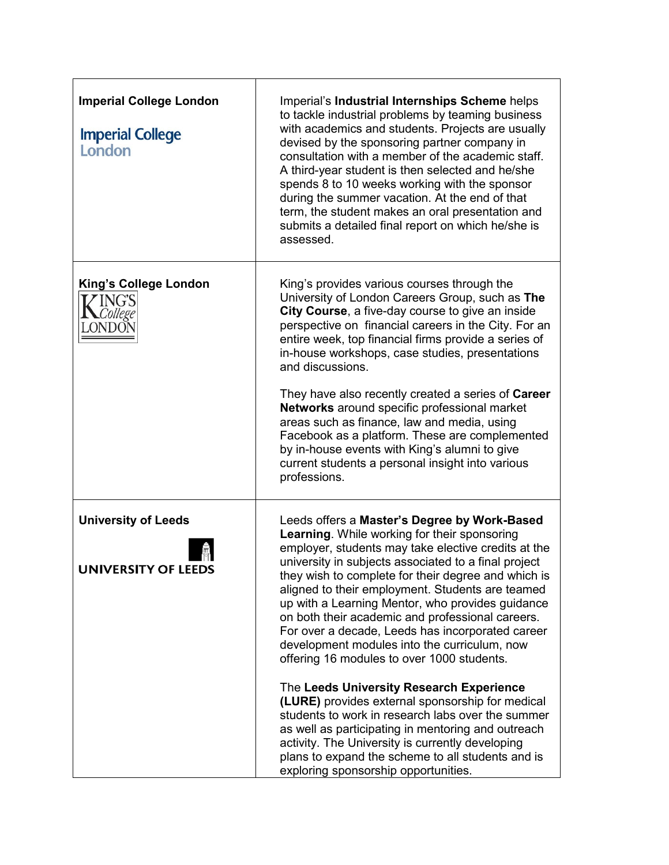| <b>Imperial College London</b><br><b>Imperial College</b><br>London | Imperial's Industrial Internships Scheme helps<br>to tackle industrial problems by teaming business<br>with academics and students. Projects are usually<br>devised by the sponsoring partner company in<br>consultation with a member of the academic staff.<br>A third-year student is then selected and he/she<br>spends 8 to 10 weeks working with the sponsor<br>during the summer vacation. At the end of that<br>term, the student makes an oral presentation and<br>submits a detailed final report on which he/she is<br>assessed.                                                                                                                                                                                                                                                                                                                                                                                                  |
|---------------------------------------------------------------------|----------------------------------------------------------------------------------------------------------------------------------------------------------------------------------------------------------------------------------------------------------------------------------------------------------------------------------------------------------------------------------------------------------------------------------------------------------------------------------------------------------------------------------------------------------------------------------------------------------------------------------------------------------------------------------------------------------------------------------------------------------------------------------------------------------------------------------------------------------------------------------------------------------------------------------------------|
| King's College London<br><b>ING'S</b>                               | King's provides various courses through the<br>University of London Careers Group, such as The<br>City Course, a five-day course to give an inside<br>perspective on financial careers in the City. For an<br>entire week, top financial firms provide a series of<br>in-house workshops, case studies, presentations<br>and discussions.<br>They have also recently created a series of Career<br>Networks around specific professional market<br>areas such as finance, law and media, using<br>Facebook as a platform. These are complemented<br>by in-house events with King's alumni to give<br>current students a personal insight into various<br>professions.                                                                                                                                                                                                                                                                        |
| <b>University of Leeds</b><br><b>UNIVERSITY OF LEEDS</b>            | Leeds offers a Master's Degree by Work-Based<br>Learning. While working for their sponsoring<br>employer, students may take elective credits at the<br>university in subjects associated to a final project<br>they wish to complete for their degree and which is<br>aligned to their employment. Students are teamed<br>up with a Learning Mentor, who provides guidance<br>on both their academic and professional careers.<br>For over a decade, Leeds has incorporated career<br>development modules into the curriculum, now<br>offering 16 modules to over 1000 students.<br>The Leeds University Research Experience<br>(LURE) provides external sponsorship for medical<br>students to work in research labs over the summer<br>as well as participating in mentoring and outreach<br>activity. The University is currently developing<br>plans to expand the scheme to all students and is<br>exploring sponsorship opportunities. |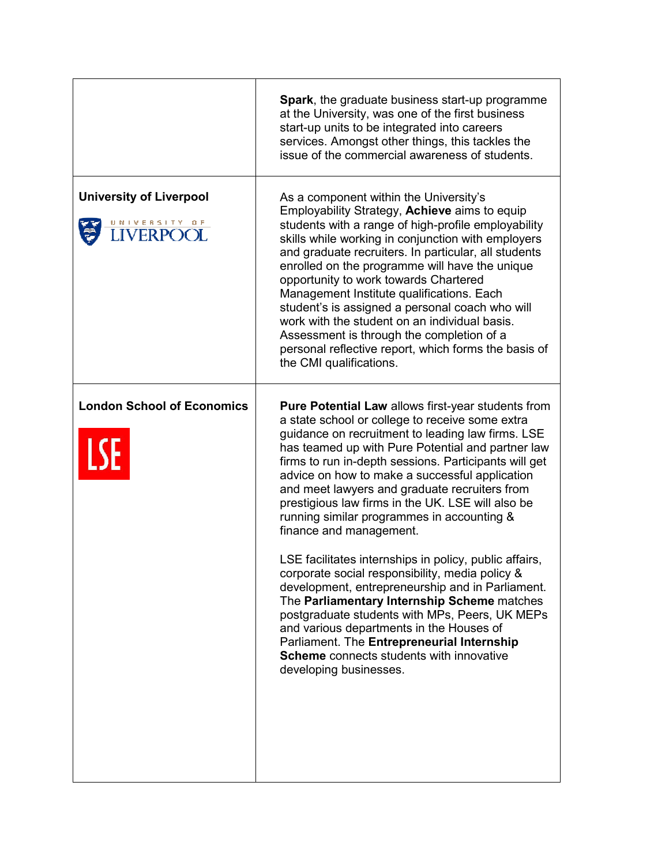|                                                 | <b>Spark</b> , the graduate business start-up programme<br>at the University, was one of the first business<br>start-up units to be integrated into careers<br>services. Amongst other things, this tackles the<br>issue of the commercial awareness of students.                                                                                                                                                                                                                                                                                                                                                                        |
|-------------------------------------------------|------------------------------------------------------------------------------------------------------------------------------------------------------------------------------------------------------------------------------------------------------------------------------------------------------------------------------------------------------------------------------------------------------------------------------------------------------------------------------------------------------------------------------------------------------------------------------------------------------------------------------------------|
| <b>University of Liverpool</b><br>UNIVERSITY OF | As a component within the University's<br>Employability Strategy, Achieve aims to equip<br>students with a range of high-profile employability<br>skills while working in conjunction with employers<br>and graduate recruiters. In particular, all students<br>enrolled on the programme will have the unique<br>opportunity to work towards Chartered<br>Management Institute qualifications. Each<br>student's is assigned a personal coach who will<br>work with the student on an individual basis.<br>Assessment is through the completion of a<br>personal reflective report, which forms the basis of<br>the CMI qualifications. |
| <b>London School of Economics</b><br><b>LSE</b> | Pure Potential Law allows first-year students from<br>a state school or college to receive some extra<br>guidance on recruitment to leading law firms. LSE<br>has teamed up with Pure Potential and partner law<br>firms to run in-depth sessions. Participants will get<br>advice on how to make a successful application<br>and meet lawyers and graduate recruiters from<br>prestigious law firms in the UK. LSE will also be<br>running similar programmes in accounting &<br>finance and management.                                                                                                                                |
|                                                 | LSE facilitates internships in policy, public affairs,<br>corporate social responsibility, media policy &<br>development, entrepreneurship and in Parliament.<br>The Parliamentary Internship Scheme matches<br>postgraduate students with MPs, Peers, UK MEPs<br>and various departments in the Houses of<br>Parliament. The Entrepreneurial Internship<br><b>Scheme</b> connects students with innovative<br>developing businesses.                                                                                                                                                                                                    |
|                                                 |                                                                                                                                                                                                                                                                                                                                                                                                                                                                                                                                                                                                                                          |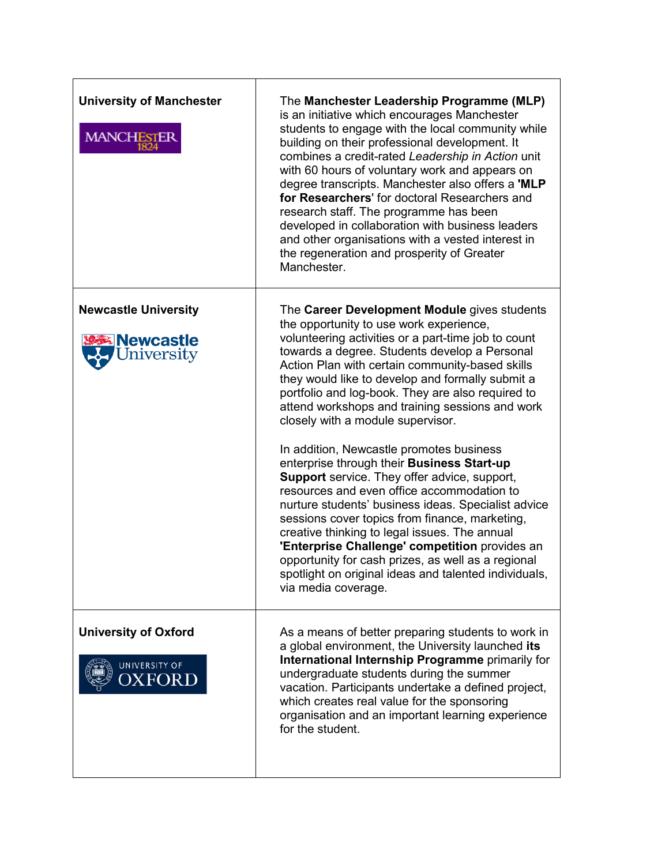| <b>University of Manchester</b><br><b>MANCHESTER</b>         | The Manchester Leadership Programme (MLP)<br>is an initiative which encourages Manchester<br>students to engage with the local community while<br>building on their professional development. It<br>combines a credit-rated Leadership in Action unit<br>with 60 hours of voluntary work and appears on<br>degree transcripts. Manchester also offers a 'MLP<br>for Researchers' for doctoral Researchers and<br>research staff. The programme has been<br>developed in collaboration with business leaders<br>and other organisations with a vested interest in<br>the regeneration and prosperity of Greater<br>Manchester.                                                                                                                                                                                                                                                                                                                                                                        |
|--------------------------------------------------------------|------------------------------------------------------------------------------------------------------------------------------------------------------------------------------------------------------------------------------------------------------------------------------------------------------------------------------------------------------------------------------------------------------------------------------------------------------------------------------------------------------------------------------------------------------------------------------------------------------------------------------------------------------------------------------------------------------------------------------------------------------------------------------------------------------------------------------------------------------------------------------------------------------------------------------------------------------------------------------------------------------|
| <b>Newcastle University</b><br><b>Newcastle</b><br>niversity | The Career Development Module gives students<br>the opportunity to use work experience,<br>volunteering activities or a part-time job to count<br>towards a degree. Students develop a Personal<br>Action Plan with certain community-based skills<br>they would like to develop and formally submit a<br>portfolio and log-book. They are also required to<br>attend workshops and training sessions and work<br>closely with a module supervisor.<br>In addition, Newcastle promotes business<br>enterprise through their Business Start-up<br><b>Support</b> service. They offer advice, support,<br>resources and even office accommodation to<br>nurture students' business ideas. Specialist advice<br>sessions cover topics from finance, marketing,<br>creative thinking to legal issues. The annual<br>'Enterprise Challenge' competition provides an<br>opportunity for cash prizes, as well as a regional<br>spotlight on original ideas and talented individuals,<br>via media coverage. |
| <b>University of Oxford</b><br>UNIVERSITY OF<br>)XFOR D      | As a means of better preparing students to work in<br>a global environment, the University launched its<br>International Internship Programme primarily for<br>undergraduate students during the summer<br>vacation. Participants undertake a defined project,<br>which creates real value for the sponsoring<br>organisation and an important learning experience<br>for the student.                                                                                                                                                                                                                                                                                                                                                                                                                                                                                                                                                                                                               |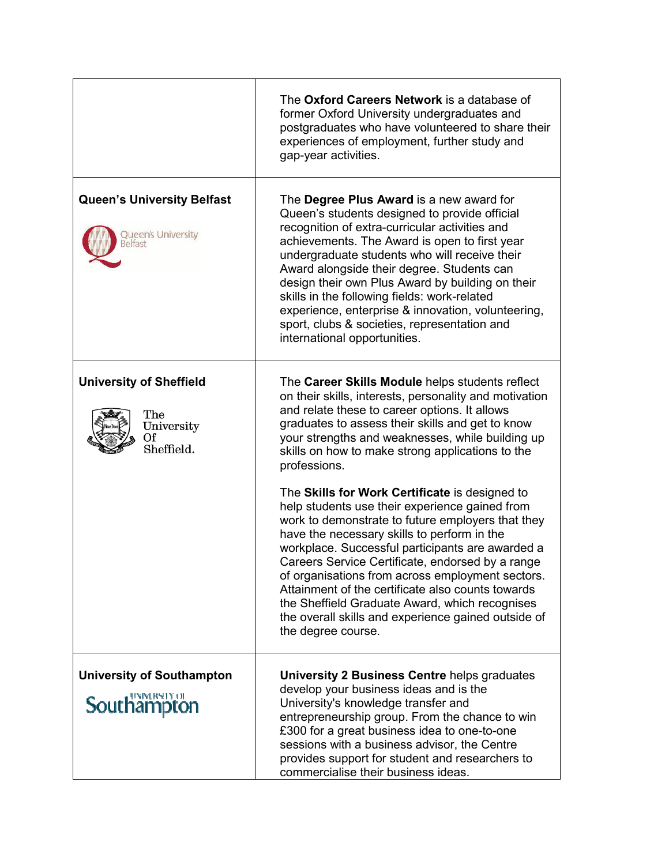|                                                                         | The Oxford Careers Network is a database of<br>former Oxford University undergraduates and<br>postgraduates who have volunteered to share their<br>experiences of employment, further study and<br>gap-year activities.                                                                                                                                                                                                                                                                                                               |
|-------------------------------------------------------------------------|---------------------------------------------------------------------------------------------------------------------------------------------------------------------------------------------------------------------------------------------------------------------------------------------------------------------------------------------------------------------------------------------------------------------------------------------------------------------------------------------------------------------------------------|
| <b>Queen's University Belfast</b><br>Queen's University<br>eltast       | The Degree Plus Award is a new award for<br>Queen's students designed to provide official<br>recognition of extra-curricular activities and<br>achievements. The Award is open to first year<br>undergraduate students who will receive their<br>Award alongside their degree. Students can<br>design their own Plus Award by building on their<br>skills in the following fields: work-related<br>experience, enterprise & innovation, volunteering,<br>sport, clubs & societies, representation and<br>international opportunities. |
| <b>University of Sheffield</b><br>The<br>University<br>Оf<br>Sheffield. | The Career Skills Module helps students reflect<br>on their skills, interests, personality and motivation<br>and relate these to career options. It allows<br>graduates to assess their skills and get to know<br>your strengths and weaknesses, while building up<br>skills on how to make strong applications to the<br>professions.<br>The Skills for Work Certificate is designed to                                                                                                                                              |
|                                                                         | help students use their experience gained from<br>work to demonstrate to future employers that they<br>have the necessary skills to perform in the<br>workplace. Successful participants are awarded a<br>Careers Service Certificate, endorsed by a range<br>of organisations from across employment sectors.<br>Attainment of the certificate also counts towards<br>the Sheffield Graduate Award, which recognises<br>the overall skills and experience gained outside of<br>the degree course.                                    |
| <b>University of Southampton</b><br><b>Southampton</b>                  | <b>University 2 Business Centre helps graduates</b><br>develop your business ideas and is the<br>University's knowledge transfer and<br>entrepreneurship group. From the chance to win<br>£300 for a great business idea to one-to-one<br>sessions with a business advisor, the Centre<br>provides support for student and researchers to<br>commercialise their business ideas.                                                                                                                                                      |